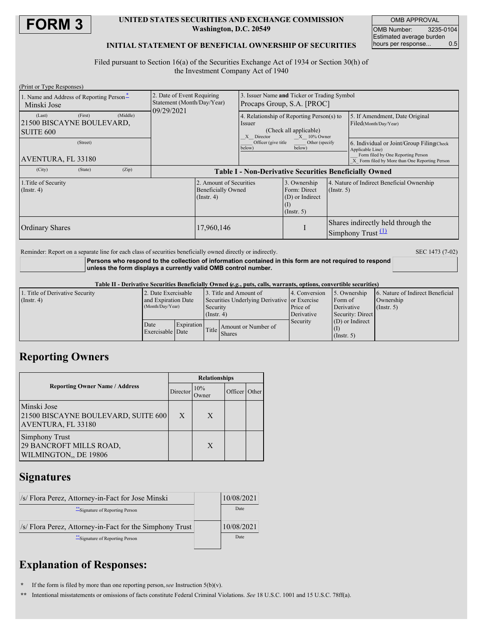

## **UNITED STATES SECURITIES AND EXCHANGE COMMISSION Washington, D.C. 20549**

OMB APPROVAL OMB Number: 3235-0104 Estimated average burden<br>hours per response... 0.5 hours per response...

## **INITIAL STATEMENT OF BENEFICIAL OWNERSHIP OF SECURITIES**

Filed pursuant to Section 16(a) of the Securities Exchange Act of 1934 or Section 30(h) of the Investment Company Act of 1940

| (Print or Type Responses)                                                                                            |                                                                        |                                                                                                                                                                               |                                                                     |                                                                |                                                                                                                                                       |  |
|----------------------------------------------------------------------------------------------------------------------|------------------------------------------------------------------------|-------------------------------------------------------------------------------------------------------------------------------------------------------------------------------|---------------------------------------------------------------------|----------------------------------------------------------------|-------------------------------------------------------------------------------------------------------------------------------------------------------|--|
| 1. Name and Address of Reporting Person-<br>Minski Jose                                                              | 2. Date of Event Requiring<br>Statement (Month/Day/Year)<br>09/29/2021 | 3. Issuer Name and Ticker or Trading Symbol<br>Procaps Group, S.A. [PROC]                                                                                                     |                                                                     |                                                                |                                                                                                                                                       |  |
| (Middle)<br>(First)<br>(Last)<br>21500 BISCAYNE BOULEVARD,<br>SUITE 600                                              |                                                                        | 4. Relationship of Reporting Person(s) to<br>Issuer<br>(Check all applicable)<br>X Director<br>$X = 10\%$ Owner<br>Officer (give title)<br>Other (specify<br>below)<br>below) |                                                                     |                                                                | 5. If Amendment, Date Original<br>Filed(Month/Day/Year)                                                                                               |  |
| (Street)<br>AVENTURA, FL 33180                                                                                       |                                                                        |                                                                                                                                                                               |                                                                     |                                                                | 6. Individual or Joint/Group Filing(Check<br>Applicable Line)<br>Form filed by One Reporting Person<br>X Form filed by More than One Reporting Person |  |
| (City)<br>(Zip)<br>(State)                                                                                           | <b>Table I - Non-Derivative Securities Beneficially Owned</b>          |                                                                                                                                                                               |                                                                     |                                                                |                                                                                                                                                       |  |
| 2. Amount of Securities<br>1. Title of Security<br><b>Beneficially Owned</b><br>$($ Instr. 4 $)$<br>$($ Instr. 4 $)$ |                                                                        |                                                                                                                                                                               | 3. Ownership<br>Form: Direct<br>(D) or Indirect<br>$($ Instr. 5 $)$ | 4. Nature of Indirect Beneficial Ownership<br>$($ Instr. 5 $)$ |                                                                                                                                                       |  |
| <b>Ordinary Shares</b>                                                                                               | 17,960,146                                                             |                                                                                                                                                                               |                                                                     | Shares indirectly held through the<br>Simphony Trust $(1)$     |                                                                                                                                                       |  |

Reminder: Report on a separate line for each class of securities beneficially owned directly or indirectly. SEC 1473 (7-02) **Persons who respond to the collection of information contained in this form are not required to respond**

**unless the form displays a currently valid OMB control number.**

Table II - Derivative Securities Beneficially Owned (e.g., puts, calls, warrants, options, convertible securities)

| 1. Title of Derivative Security | 2. Date Exercisable                     |                   |                                              | 3. Title and Amount of              | 4. Conversion | 5. Ownership      | 6. Nature of Indirect Beneficial |  |
|---------------------------------|-----------------------------------------|-------------------|----------------------------------------------|-------------------------------------|---------------|-------------------|----------------------------------|--|
| (Insert 4)                      | and Expiration Date<br>(Month/Day/Year) |                   | Securities Underlying Derivative or Exercise |                                     |               | Form of           | Ownership                        |  |
|                                 |                                         |                   | Security                                     |                                     | Price of      | Derivative        | $($ Instr. 5 $)$                 |  |
|                                 |                                         |                   | $($ Instr. 4)                                |                                     | Derivative    | Security: Direct  |                                  |  |
|                                 | Date                                    | <b>Expiration</b> |                                              |                                     | Security      | $(D)$ or Indirect |                                  |  |
|                                 | Exercisable Date                        |                   |                                              | Amount or Number of<br>Title Shares |               |                   |                                  |  |
|                                 |                                         |                   |                                              |                                     |               | (Insert, 5)       |                                  |  |

## **Reporting Owners**

|                                                                           | <b>Relationships</b>      |   |               |  |  |
|---------------------------------------------------------------------------|---------------------------|---|---------------|--|--|
| <b>Reporting Owner Name / Address</b>                                     | 10%<br>Director<br>Owner) |   | Officer Other |  |  |
| Minski Jose<br>21500 BISCAYNE BOULEVARD, SUITE 600<br>AVENTURA, FL 33180  | X                         | X |               |  |  |
| <b>Simphony Trust</b><br>29 BANCROFT MILLS ROAD,<br>WILMINGTON., DE 19806 |                           | X |               |  |  |

# **Signatures**

| /s/ Flora Perez, Attorney-in-Fact for Jose Minski        | 10/08/2021 |
|----------------------------------------------------------|------------|
| ** Signature of Reporting Person                         | Date       |
| /s/ Flora Perez, Attorney-in-Fact for the Simphony Trust | 10/08/2021 |
| **Signature of Reporting Person                          | Date       |

# **Explanation of Responses:**

**\*** If the form is filed by more than one reporting person,*see* Instruction 5(b)(v).

**\*\*** Intentional misstatements or omissions of facts constitute Federal Criminal Violations. *See* 18 U.S.C. 1001 and 15 U.S.C. 78ff(a).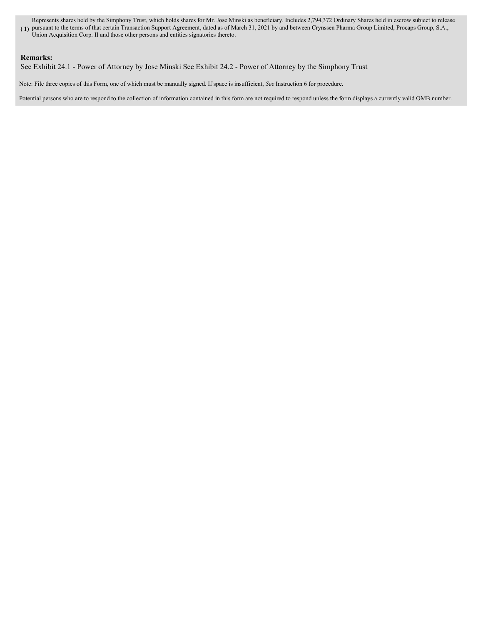**( 1)** pursuant to the terms of that certain Transaction Support Agreement, dated as of March 31, 2021 by and between Crynssen Pharma Group Limited, Procaps Group, S.A., Represents shares held by the Simphony Trust, which holds shares for Mr. Jose Minski as beneficiary. Includes 2,794,372 Ordinary Shares held in escrow subject to release

## Union Acquisition Corp. II and those other persons and entities signatories thereto.

### **Remarks:**

See Exhibit 24.1 - Power of Attorney by Jose Minski See Exhibit 24.2 - Power of Attorney by the Simphony Trust

Note: File three copies of this Form, one of which must be manually signed. If space is insufficient, *See* Instruction 6 for procedure.

Potential persons who are to respond to the collection of information contained in this form are not required to respond unless the form displays a currently valid OMB number.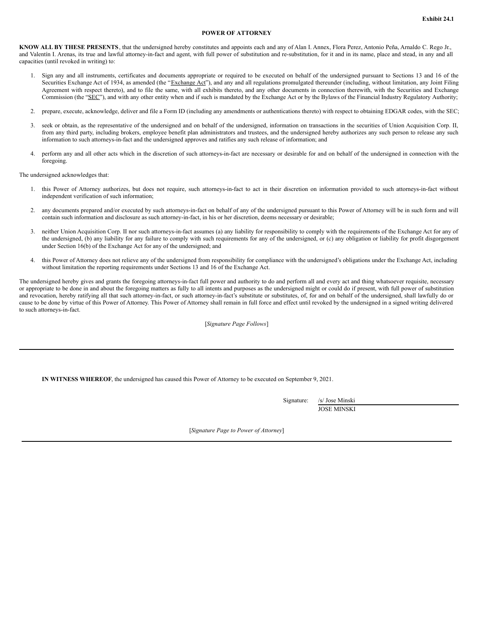### **POWER OF ATTORNEY**

**KNOW ALL BY THESE PRESENTS**, that the undersigned hereby constitutes and appoints each and any of Alan I. Annex, Flora Perez, Antonio Peña, Arnaldo C. Rego Jr., and Valentín I. Arenas, its true and lawful attorney-in-fact and agent, with full power of substitution and re-substitution, for it and in its name, place and stead, in any and all capacities (until revoked in writing) to:

- 1. Sign any and all instruments, certificates and documents appropriate or required to be executed on behalf of the undersigned pursuant to Sections 13 and 16 of the Securities Exchange Act of 1934, as amended (the "Exchange Act"), and any and all regulations promulgated thereunder (including, without limitation, any Joint Filing Agreement with respect thereto), and to file the same, with all exhibits thereto, and any other documents in connection therewith, with the Securities and Exchange Commission (the "SEC"), and with any other entity when and if such is mandated by the Exchange Act or by the Bylaws of the Financial Industry Regulatory Authority;
- 2. prepare, execute, acknowledge, deliver and file a Form ID (including any amendments or authentications thereto) with respect to obtaining EDGAR codes, with the SEC;
- 3. seek or obtain, as the representative of the undersigned and on behalf of the undersigned, information on transactions in the securities of Union Acquisition Corp. II, from any third party, including brokers, employee benefit plan administrators and trustees, and the undersigned hereby authorizes any such person to release any such information to such attorneys-in-fact and the undersigned approves and ratifies any such release of information; and
- 4. perform any and all other acts which in the discretion of such attorneys-in-fact are necessary or desirable for and on behalf of the undersigned in connection with the foregoing.

The undersigned acknowledges that:

- 1. this Power of Attorney authorizes, but does not require, such attorneys-in-fact to act in their discretion on information provided to such attorneys-in-fact without independent verification of such information;
- 2. any documents prepared and/or executed by such attorneys-in-fact on behalf of any of the undersigned pursuant to this Power of Attorney will be in such form and will contain such information and disclosure as such attorney-in-fact, in his or her discretion, deems necessary or desirable;
- 3. neither Union Acquisition Corp. II nor such attorneys-in-fact assumes (a) any liability for responsibility to comply with the requirements of the Exchange Act for any of the undersigned, (b) any liability for any failure to comply with such requirements for any of the undersigned, or (c) any obligation or liability for profit disgorgement under Section 16(b) of the Exchange Act for any of the undersigned; and
- 4. this Power of Attorney does not relieve any of the undersigned from responsibility for compliance with the undersigned's obligations under the Exchange Act, including without limitation the reporting requirements under Sections 13 and 16 of the Exchange Act.

The undersigned hereby gives and grants the foregoing attorneys-in-fact full power and authority to do and perform all and every act and thing whatsoever requisite, necessary or appropriate to be done in and about the foregoing matters as fully to all intents and purposes as the undersigned might or could do if present, with full power of substitution and revocation, hereby ratifying all that such attorney-in-fact, or such attorney-in-fact's substitute or substitutes, of, for and on behalf of the undersigned, shall lawfully do or cause to be done by virtue of this Power of Attorney. This Power of Attorney shall remain in full force and effect until revoked by the undersigned in a signed writing delivered to such attorneys-in-fact.

[*Signature Page Follows*]

**IN WITNESS WHEREOF**, the undersigned has caused this Power of Attorney to be executed on September 9, 2021.

Signature: /s/ Jose Minski JOSE MINSKI

[*Signature Page to Power of Attorney*]